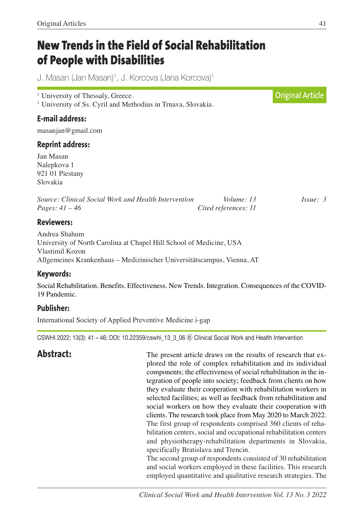# **New Trends in the Field of Social Rehabilitation of People with Disabilities**

J. Masan (Jan Masan) 1, J. Korcova (Jana Korcova) 1

<sup>1</sup> University of Thessaly, Greece. <sup>1</sup> University of Ss. Cyril and Methodius in Trnava, Slovakia.

# **E-mail address:**

masanjan@gmail.com

# **Reprint address:**

Jan Masan Nalepkova 1 921 01 Piestany Slovakia

| Source: Clinical Social Work and Health Intervention | Volume: 13           | $I_{SS}ue: 3$ |
|------------------------------------------------------|----------------------|---------------|
| <i>Pages:</i> $41 - 46$                              | Cited references: 11 |               |

### **Reviewers:**

Andrea Shahum University of North Carolina at Chapel Hill School of Medicine, USA Vlastimil Kozon Allgemeines Krankenhaus – Medizinischer Universitätscampus, Vienna, AT

### **Keywords:**

Social Rehabilitation. Benefits. Effectiveness. New Trends. Integration. Consequences of the COVID-19 Pandemic.

# **Publisher:**

International Society of Applied Preventive Medicine i-gap

CSWHI 2022; 13(3): 41 – 46; DOI: 10.22359/cswhi\_13\_3\_06 ⓒ Clinical Social Work and Health Intervention

**Abstract:** The present article draws on the results of research that explored the role of complex rehabilitation and its individual components; the effectiveness of social rehabilitation in the integration of people into society; feedback from clients on how they evaluate their cooperation with rehabilitation workers in selected facilities; as well as feedback from rehabilitation and social workers on how they evaluate their cooperation with clients. The research took place from May 2020 to March 2022. The first group of respondents comprised 360 clients of rehabilitation centers, social and occupational rehabilitation centers and physiotherapy-rehabilitation departments in Slovakia, specifically Bratislava and Trencin.

                                                      The second group of respondents consisted of 30 rehabilitation and social workers employed in these facilities. This research employed quantitative and qualitative research strategies. The

**Original Article**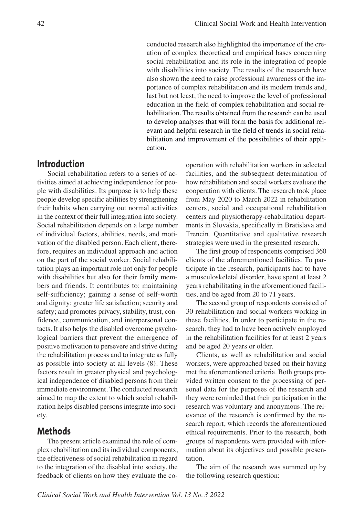conducted research also highlighted the importance of the creation of complex theoretical and empirical bases concerning social rehabilitation and its role in the integration of people with disabilities into society. The results of the research have also shown the need to raise professional awareness of the importance of complex rehabilitation and its modern trends and, last but not least, the need to improve the level of professional education in the field of complex rehabilitation and social rehabilitation. The results obtained from the research can be used to develop analyses that will form the basis for additional relevant and helpful research in the field of trends in social rehabilitation and improvement of the possibilities of their application.

# **Introduction**

Social rehabilitation refers to a series of activities aimed at achieving independence for people with disabilities. Its purpose is to help these people develop specific abilities by strengthening their habits when carrying out normal activities in the context of their full integration into society. Social rehabilitation depends on a large number of individual factors, abilities, needs, and motivation of the disabled person. Each client, therefore, requires an individual approach and action on the part of the social worker. Social rehabilitation plays an important role not only for people with disabilities but also for their family members and friends. It contributes to: maintaining self-sufficiency; gaining a sense of self-worth and dignity; greater life satisfaction; security and safety; and promotes privacy, stability, trust, confidence, communication, and interpersonal contacts. It also helps the disabled overcome psychological barriers that prevent the emergence of positive motivation to persevere and strive during the rehabilitation process and to integrate as fully as possible into society at all levels (8). These factors result in greater physical and psychological independence of disabled persons from their immediate environment. The conducted research aimed to map the extent to which social rehabilitation helps disabled persons integrate into society.

### **Methods**

The present article examined the role of complex rehabilitation and its individual components, the effectiveness of social rehabilitation in regard to the integration of the disabled into society, the feedback of clients on how they evaluate the cooperation with rehabilitation workers in selected facilities, and the subsequent determination of how rehabilitation and social workers evaluate the cooperation with clients. The research took place from May 2020 to March 2022 in rehabilitation centers, social and occupational rehabilitation centers and physiotherapy-rehabilitation departments in Slovakia, specifically in Bratislava and Trencin. Quantitative and qualitative research strategies were used in the presented research.

The first group of respondents comprised 360 clients of the aforementioned facilities. To participate in the research, participants had to have a musculoskeletal disorder, have spent at least 2 years rehabilitating in the aforementioned facilities, and be aged from 20 to 71 years.

The second group of respondents consisted of 30 rehabilitation and social workers working in these facilities. In order to participate in the research, they had to have been actively employed in the rehabilitation facilities for at least 2 years and be aged 20 years or older.

Clients, as well as rehabilitation and social workers, were approached based on their having met the aforementioned criteria. Both groups provided written consent to the processing of personal data for the purposes of the research and they were reminded that their participation in the research was voluntary and anonymous. The relevance of the research is confirmed by the research report, which records the aforementioned ethical requirements. Prior to the research, both groups of respondents were provided with information about its objectives and possible presentation.

The aim of the research was summed up by the following research question: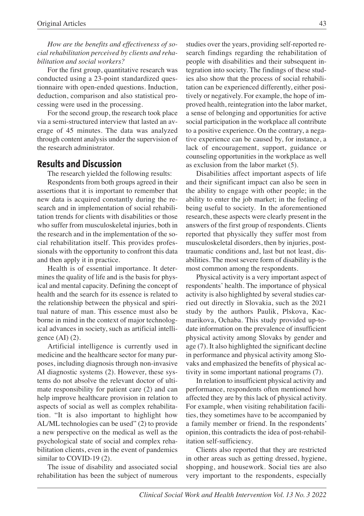*How are the benefits and effectiveness of social rehabilitation perceived by clients and rehabilitation and social workers?*

For the first group, quantitative research was conducted using a 23-point standardized questionnaire with open-ended questions. Induction, deduction, comparison and also statistical processing were used in the processing.

For the second group, the research took place via a semi-structured interview that lasted an average of 45 minutes. The data was analyzed through content analysis under the supervision of the research administrator.

### **Results and Discussion**

The research yielded the following results:

Respondents from both groups agreed in their assertions that it is important to remember that new data is acquired constantly during the research and in implementation of social rehabilitation trends for clients with disabilities or those who suffer from musculoskeletal injuries, both in the research and in the implementation of the social rehabilitation itself. This provides professionals with the opportunity to confront this data and then apply it in practice.

Health is of essential importance. It determines the quality of life and is the basis for physical and mental capacity. Defining the concept of health and the search for its essence is related to the relationship between the physical and spiritual nature of man. This essence must also be borne in mind in the context of major technological advances in society, such as artificial intelligence  $(AI)$  $(2)$ .

Artificial intelligence is currently used in medicine and the healthcare sector for many purposes, including diagnosis through non-invasive AI diagnostic systems (2). However, these systems do not absolve the relevant doctor of ultimate responsibility for patient care (2) and can help improve healthcare provision in relation to aspects of social as well as complex rehabilitation. "It is also important to highlight how AL/ML technologies can be used" (2) to provide a new perspective on the medical as well as the psychological state of social and complex rehabilitation clients, even in the event of pandemics similar to COVID-19 (2).

The issue of disability and associated social rehabilitation has been the subject of numerous studies over the years, providing self-reported research findings regarding the rehabilitation of people with disabilities and their subsequent integration into society. The findings of these studies also show that the process of social rehabilitation can be experienced differently, either positively or negatively. For example, the hope of improved health, reintegration into the labor market, a sense of belonging and opportunities for active social participation in the workplace all contribute to a positive experience. On the contrary, a negative experience can be caused by, for instance, a lack of encouragement, support, guidance or counseling opportunities in the workplace as well as exclusion from the labor market (5).

Disabilities affect important aspects of life and their significant impact can also be seen in the ability to engage with other people; in the ability to enter the job market; in the feeling of being useful to society. In the aforementioned research, these aspects were clearly present in the answers of the first group of respondents. Clients reported that physically they suffer most from musculoskeletal disorders, then by injuries, posttraumatic conditions and, last but not least, disabilities. The most severe form of disability is the most common among the respondents.

Physical activity is a very important aspect of respondents' health. The importance of physical activity is also highlighted by several studies carried out directly in Slovakia, such as the 2021 study by the authors Paulik, Plskova, Kacmarikova, Ochaba. This study provided up-todate information on the prevalence of insufficient physical activity among Slovaks by gender and age (7). It also highlighted the significant decline in performance and physical activity among Slovaks and emphasized the benefits of physical activity in some important national programs (7).

In relation to insufficient physical activity and performance, respondents often mentioned how affected they are by this lack of physical activity. For example, when visiting rehabilitation facilities, they sometimes have to be accompanied by a family member or friend. In the respondents' opinion, this contradicts the idea of post-rehabilitation self-sufficiency.

Clients also reported that they are restricted in other areas such as getting dressed, hygiene, shopping, and housework. Social ties are also very important to the respondents, especially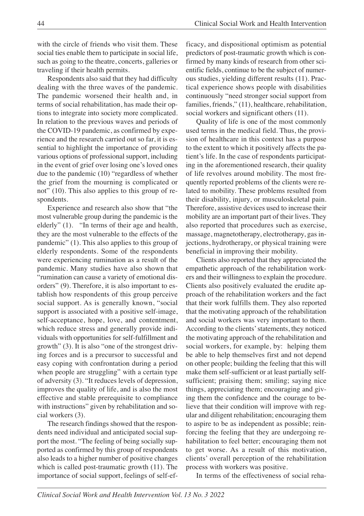with the circle of friends who visit them. These social ties enable them to participate in social life, such as going to the theatre, concerts, galleries or traveling if their health permits.

Respondents also said that they had difficulty dealing with the three waves of the pandemic. The pandemic worsened their health and, in terms of social rehabilitation, has made their options to integrate into society more complicated. In relation to the previous waves and periods of the COVID-19 pandemic, as confirmed by experience and the research carried out so far, it is essential to highlight the importance of providing various options of professional support, including in the event of grief over losing one's loved ones due to the pandemic (10) "regardless of whether the grief from the mourning is complicated or not" (10). This also applies to this group of respondents.

Experience and research also show that "the most vulnerable group during the pandemic is the elderly" (1). "In terms of their age and health, they are the most vulnerable to the effects of the pandemic" (1). This also applies to this group of elderly respondents. Some of the respondents were experiencing rumination as a result of the pandemic. Many studies have also shown that "rumination can cause a variety of emotional disorders" (9). Therefore, it is also important to establish how respondents of this group perceive social support. As is generally known, "social support is associated with a positive self-image, self-acceptance, hope, love, and contentment, which reduce stress and generally provide individuals with opportunities for self-fulfillment and growth" (3). It is also "one of the strongest driving forces and is a precursor to successful and easy coping with confrontation during a period when people are struggling" with a certain type of adversity (3). "It reduces levels of depression, improves the quality of life, and is also the most effective and stable prerequisite to compliance with instructions" given by rehabilitation and social workers (3).

The research findings showed that the respondents need individual and anticipated social support the most. "The feeling of being socially supported as confirmed by this group of respondents also leads to a higher number of positive changes which is called post-traumatic growth (11). The importance of social support, feelings of self-efficacy, and dispositional optimism as potential predictors of post-traumatic growth which is confirmed by many kinds of research from other scientific fields, continue to be the subject of numerous studies, yielding different results (11). Practical experience shows people with disabilities continuously "need stronger social support from families, friends," (11), healthcare, rehabilitation, social workers and significant others  $(11)$ .

Quality of life is one of the most commonly used terms in the medical field. Thus, the provision of healthcare in this context has a purpose to the extent to which it positively affects the patient's life. In the case of respondents participating in the aforementioned research, their quality of life revolves around mobility. The most frequently reported problems of the clients were related to mobility. These problems resulted from their disability, injury, or musculoskeletal pain. Therefore, assistive devices used to increase their mobility are an important part of their lives. They also reported that procedures such as exercise, massage, magnetotherapy, electrotherapy, gas injections, hydrotherapy, or physical training were beneficial in improving their mobility.

Clients also reported that they appreciated the empathetic approach of the rehabilitation workers and their willingness to explain the procedure. Clients also positively evaluated the erudite approach of the rehabilitation workers and the fact that their work fulfills them. They also reported that the motivating approach of the rehabilitation and social workers was very important to them. According to the clients' statements, they noticed the motivating approach of the rehabilitation and social workers, for example, by: helping them be able to help themselves first and not depend on other people; building the feeling that this will make them self-sufficient or at least partially selfsufficient; praising them; smiling; saying nice things, appreciating them; encouraging and giving them the confidence and the courage to believe that their condition will improve with regular and diligent rehabilitation; encouraging them to aspire to be as independent as possible; reinforcing the feeling that they are undergoing rehabilitation to feel better; encouraging them not to get worse. As a result of this motivation, clients' overall perception of the rehabilitation process with workers was positive.

In terms of the effectiveness of social reha-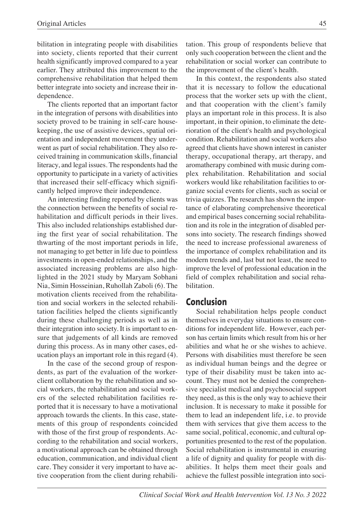bilitation in integrating people with disabilities into society, clients reported that their current health significantly improved compared to a year earlier. They attributed this improvement to the comprehensive rehabilitation that helped them better integrate into society and increase their independence.

The clients reported that an important factor in the integration of persons with disabilities into society proved to be training in self-care housekeeping, the use of assistive devices, spatial orientation and independent movement they underwent as part of social rehabilitation. They also received training in communication skills, financial literacy, and legal issues. The respondents had the opportunity to participate in a variety of activities that increased their self-efficacy which significantly helped improve their independence.

An interesting finding reported by clients was the connection between the benefits of social rehabilitation and difficult periods in their lives. This also included relationships established during the first year of social rehabilitation. The thwarting of the most important periods in life, not managing to get better in life due to pointless investments in open-ended relationships, and the associated increasing problems are also highlighted in the 2021 study by Maryam Sobhani Nia, Simin Hosseinian, Ruhollah Zaboli (6). The motivation clients received from the rehabilitation and social workers in the selected rehabilitation facilities helped the clients significantly during these challenging periods as well as in their integration into society. It is important to ensure that judgements of all kinds are removed during this process. As in many other cases, education plays an important role in this regard (4).

In the case of the second group of respondents, as part of the evaluation of the workerclient collaboration by the rehabilitation and social workers, the rehabilitation and social workers of the selected rehabilitation facilities reported that it is necessary to have a motivational approach towards the clients. In this case, statements of this group of respondents coincided with those of the first group of respondents. According to the rehabilitation and social workers, a motivational approach can be obtained through education, communication, and individual client care. They consider it very important to have active cooperation from the client during rehabilitation. This group of respondents believe that only such cooperation between the client and the rehabilitation or social worker can contribute to the improvement of the client's health.

In this context, the respondents also stated that it is necessary to follow the educational process that the worker sets up with the client, and that cooperation with the client's family plays an important role in this process. It is also important, in their opinion, to eliminate the deterioration of the client's health and psychological condition. Rehabilitation and social workers also agreed that clients have shown interest in canister therapy, occupational therapy, art therapy, and aromatherapy combined with music during complex rehabilitation. Rehabilitation and social workers would like rehabilitation facilities to organize social events for clients, such as social or trivia quizzes. The research has shown the importance of elaborating comprehensive theoretical and empirical bases concerning social rehabilitation and its role in the integration of disabled persons into society. The research findings showed the need to increase professional awareness of the importance of complex rehabilitation and its modern trends and, last but not least, the need to improve the level of professional education in the field of complex rehabilitation and social rehabilitation.

### **Conclusion**

Social rehabilitation helps people conduct themselves in everyday situations to ensure conditions for independent life. However, each person has certain limits which result from his or her abilities and what he or she wishes to achieve. Persons with disabilities must therefore be seen as individual human beings and the degree or type of their disability must be taken into account. They must not be denied the comprehensive specialist medical and psychosocial support they need, as this is the only way to achieve their inclusion. It is necessary to make it possible for them to lead an independent life, i.e. to provide them with services that give them access to the same social, political, economic, and cultural opportunities presented to the rest of the population. Social rehabilitation is instrumental in ensuring a life of dignity and quality for people with disabilities. It helps them meet their goals and achieve the fullest possible integration into soci